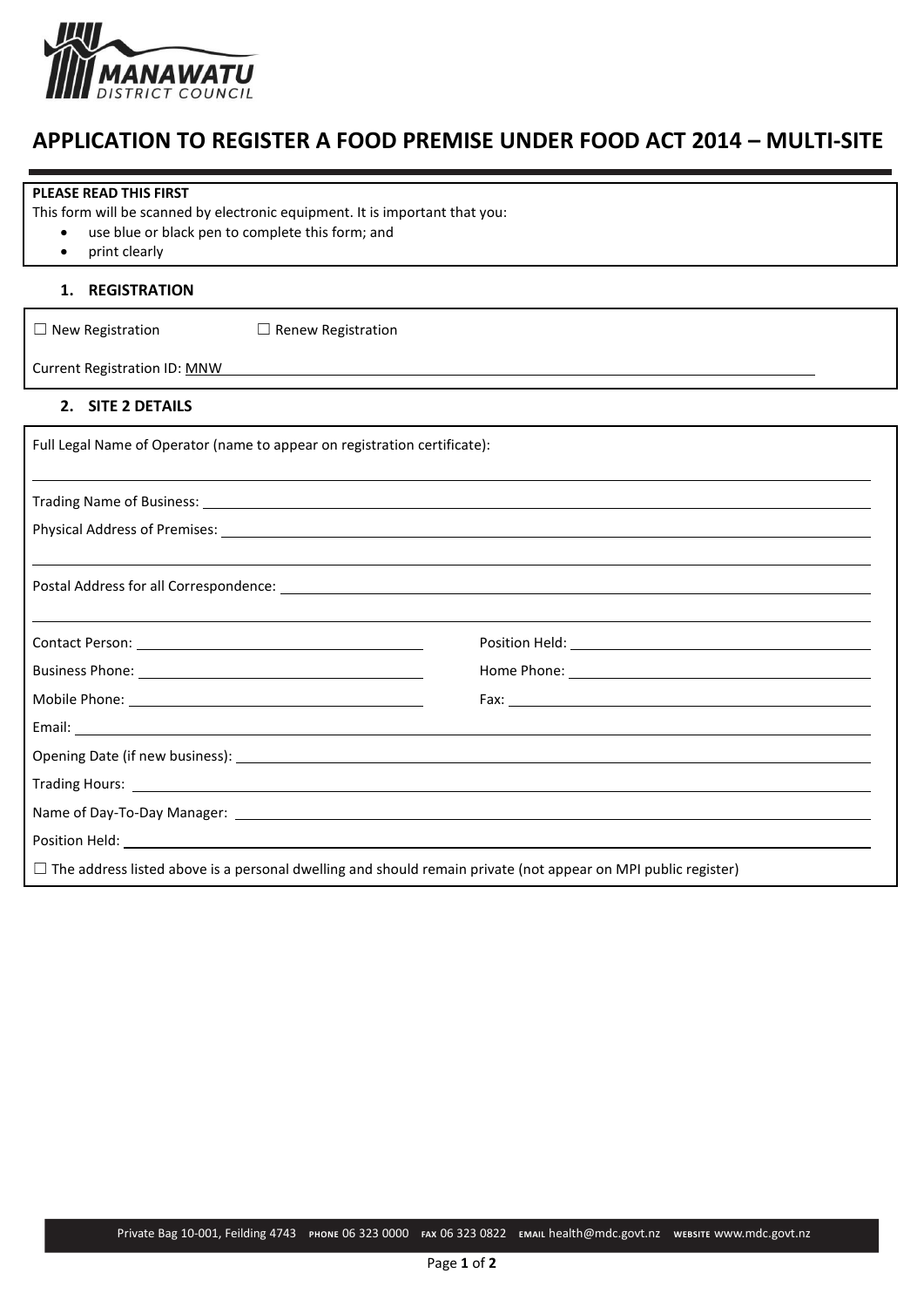

## **APPLICATION TO REGISTER A FOOD PREMISE UNDER FOOD ACT 2014 – MULTI-SITE**

| <b>PLEASE READ THIS FIRST</b>                                                                                        |                                                                                                                                                                                                                                |
|----------------------------------------------------------------------------------------------------------------------|--------------------------------------------------------------------------------------------------------------------------------------------------------------------------------------------------------------------------------|
| This form will be scanned by electronic equipment. It is important that you:                                         |                                                                                                                                                                                                                                |
| use blue or black pen to complete this form; and                                                                     |                                                                                                                                                                                                                                |
| print clearly<br>٠                                                                                                   |                                                                                                                                                                                                                                |
| <b>REGISTRATION</b><br>1.                                                                                            |                                                                                                                                                                                                                                |
| $\Box$ New Registration<br>$\Box$ Renew Registration                                                                 |                                                                                                                                                                                                                                |
| <b>Current Registration ID: MNW</b>                                                                                  |                                                                                                                                                                                                                                |
| 2. SITE 2 DETAILS                                                                                                    |                                                                                                                                                                                                                                |
| Full Legal Name of Operator (name to appear on registration certificate):                                            |                                                                                                                                                                                                                                |
|                                                                                                                      |                                                                                                                                                                                                                                |
|                                                                                                                      |                                                                                                                                                                                                                                |
|                                                                                                                      |                                                                                                                                                                                                                                |
|                                                                                                                      |                                                                                                                                                                                                                                |
|                                                                                                                      |                                                                                                                                                                                                                                |
|                                                                                                                      |                                                                                                                                                                                                                                |
|                                                                                                                      |                                                                                                                                                                                                                                |
|                                                                                                                      |                                                                                                                                                                                                                                |
|                                                                                                                      | Fax: The contract of the contract of the contract of the contract of the contract of the contract of the contract of the contract of the contract of the contract of the contract of the contract of the contract of the contr |
|                                                                                                                      |                                                                                                                                                                                                                                |
|                                                                                                                      |                                                                                                                                                                                                                                |
|                                                                                                                      |                                                                                                                                                                                                                                |
|                                                                                                                      |                                                                                                                                                                                                                                |
|                                                                                                                      |                                                                                                                                                                                                                                |
| $\Box$ The address listed above is a personal dwelling and should remain private (not appear on MPI public register) |                                                                                                                                                                                                                                |